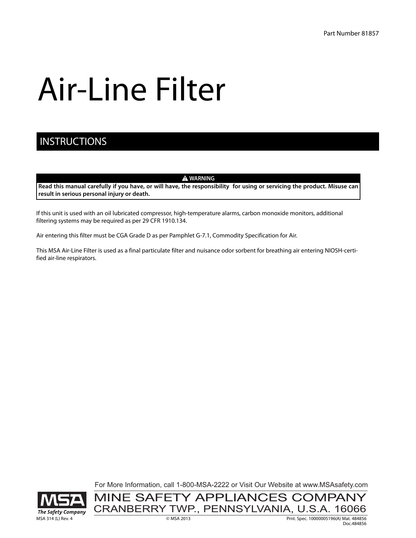# Air-Line Filter

## **INSTRUCTIONS**

 $\triangle$  WARNING

**Read this manual carefully if you have, or will have, the responsibility for using or servicing the product. Misuse can result in serious personal injury or death.**

If this unit is used with an oil lubricated compressor, high-temperature alarms, carbon monoxide monitors, additional filtering systems may be required as per 29 CFR 1910.134.

Air entering this filter must be CGA Grade D as per Pamphlet G-7.1, Commodity Specification for Air.

This MSA Air-Line Filter is used as a final particulate filter and nuisance odor sorbent for breathing air entering NIOSH-certified air-line respirators.

For More Information, call 1-800-MSA-2222 or Visit Our Website at www.MSAsafety.com

CRANBERRY TWP., PENNSYLVANIA, U.S.A. 16066

MINE SAFETY APPLIANCES COMPANY